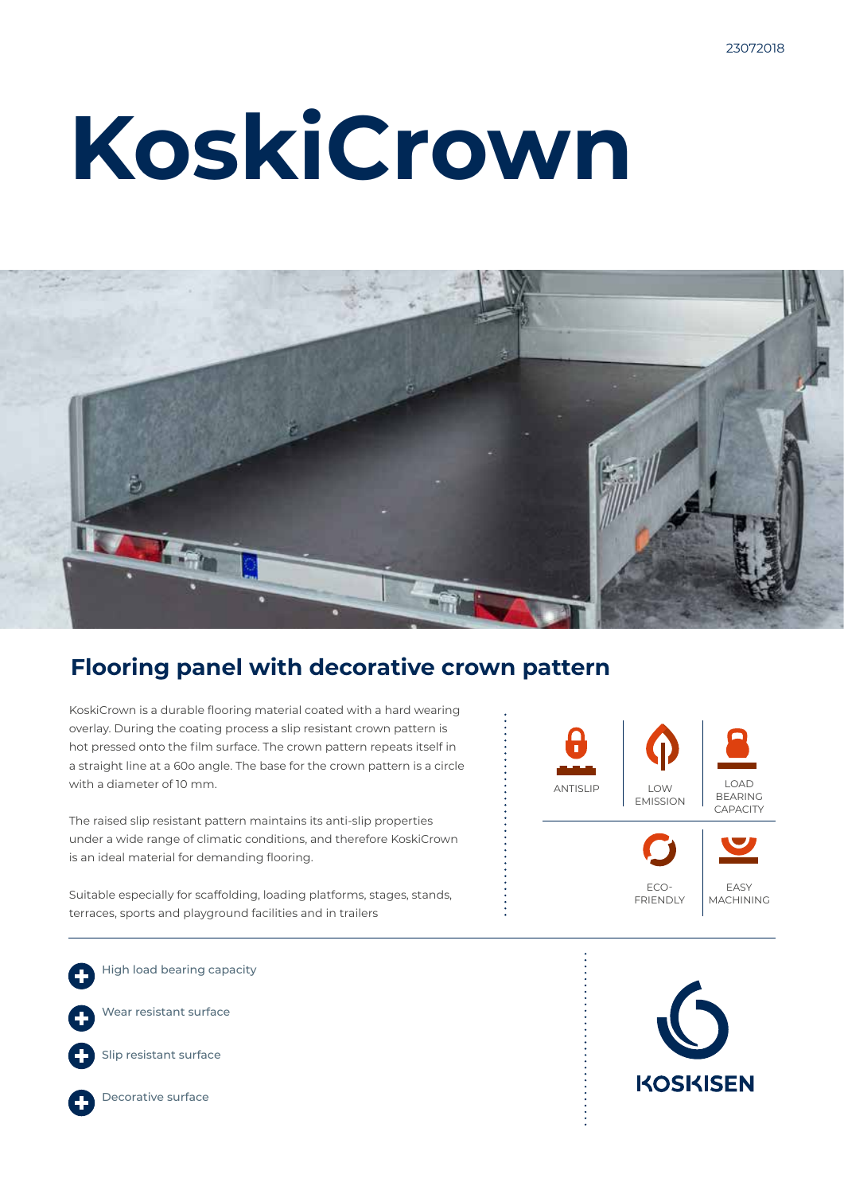# **KoskiCrown**



### **Flooring panel with decorative crown pattern**

KoskiCrown is a durable flooring material coated with a hard wearing overlay. During the coating process a slip resistant crown pattern is hot pressed onto the film surface. The crown pattern repeats itself in a straight line at a 60o angle. The base for the crown pattern is a circle with a diameter of 10 mm.

The raised slip resistant pattern maintains its anti-slip properties under a wide range of climatic conditions, and therefore KoskiCrown is an ideal material for demanding flooring.

Suitable especially for scaffolding, loading platforms, stages, stands, terraces, sports and playground facilities and in trailers

High load bearing capacity

Wear resistant surface



Slip resistant surface



Decorative surface